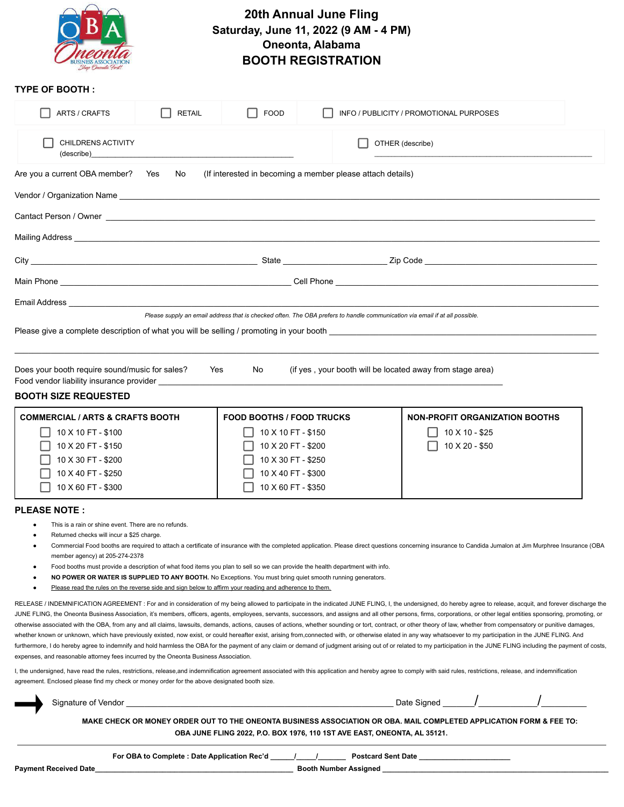

## **20th Annual June Fling Saturday, June 11, 2022 (9 AM - 4 PM) Oneonta, Alabama BOOTH REGISTRATION**

## **TYPE OF BOOTH :**

| ARTS / CRAFTS                                                                                                                                                                                                                  | <b>RETAIL</b>                                                                                                                                                                                                                                                                                                                                                                                                                                                                                                       | <b>FOOD</b> | INFO / PUBLICITY / PROMOTIONAL PURPOSES                                                                                     |  |  |  |  |  |  |
|--------------------------------------------------------------------------------------------------------------------------------------------------------------------------------------------------------------------------------|---------------------------------------------------------------------------------------------------------------------------------------------------------------------------------------------------------------------------------------------------------------------------------------------------------------------------------------------------------------------------------------------------------------------------------------------------------------------------------------------------------------------|-------------|-----------------------------------------------------------------------------------------------------------------------------|--|--|--|--|--|--|
| CHILDRENS ACTIVITY                                                                                                                                                                                                             | $\qquad \qquad \textbf{(describe)} \qquad \qquad \textbf{[def]} \qquad \qquad \textbf{[def]} \qquad \qquad \textbf{[def]} \qquad \qquad \textbf{[def]} \qquad \qquad \textbf{[def]} \qquad \qquad \textbf{[def]} \qquad \qquad \textbf{[def]} \qquad \qquad \textbf{[def]} \qquad \qquad \textbf{[def]} \qquad \qquad \textbf{[def]} \qquad \qquad \textbf{[def]} \qquad \qquad \textbf{[def]} \qquad \qquad \textbf{[def]} \qquad \qquad \textbf{[def]} \qquad \qquad \textbf{[def]} \qquad \qquad \textbf{[def]}$ |             | OTHER (describe)                                                                                                            |  |  |  |  |  |  |
| Are you a current OBA member? Yes No<br>(If interested in becoming a member please attach details)                                                                                                                             |                                                                                                                                                                                                                                                                                                                                                                                                                                                                                                                     |             |                                                                                                                             |  |  |  |  |  |  |
|                                                                                                                                                                                                                                |                                                                                                                                                                                                                                                                                                                                                                                                                                                                                                                     |             |                                                                                                                             |  |  |  |  |  |  |
|                                                                                                                                                                                                                                |                                                                                                                                                                                                                                                                                                                                                                                                                                                                                                                     |             |                                                                                                                             |  |  |  |  |  |  |
|                                                                                                                                                                                                                                |                                                                                                                                                                                                                                                                                                                                                                                                                                                                                                                     |             |                                                                                                                             |  |  |  |  |  |  |
|                                                                                                                                                                                                                                |                                                                                                                                                                                                                                                                                                                                                                                                                                                                                                                     |             |                                                                                                                             |  |  |  |  |  |  |
| Email Address and the control of the control of the control of the control of the control of the control of the control of the control of the control of the control of the control of the control of the control of the contr |                                                                                                                                                                                                                                                                                                                                                                                                                                                                                                                     |             | Please supply an email address that is checked often. The OBA prefers to handle communication via email if at all possible. |  |  |  |  |  |  |
|                                                                                                                                                                                                                                |                                                                                                                                                                                                                                                                                                                                                                                                                                                                                                                     |             |                                                                                                                             |  |  |  |  |  |  |
| Does your booth require sound/music for sales?<br>Food vendor liability insurance provider                                                                                                                                     | Yes                                                                                                                                                                                                                                                                                                                                                                                                                                                                                                                 | No.         | (if yes, your booth will be located away from stage area)                                                                   |  |  |  |  |  |  |
| <b>BOOTH SIZE REQUESTED</b>                                                                                                                                                                                                    |                                                                                                                                                                                                                                                                                                                                                                                                                                                                                                                     |             |                                                                                                                             |  |  |  |  |  |  |

| <b>COMMERCIAL / ARTS &amp; CRAFTS BOOTH</b> | <b>FOOD BOOTHS / FOOD TRUCKS</b> | NON-PROFIT ORGANIZATION BOOTHS |
|---------------------------------------------|----------------------------------|--------------------------------|
| 10 X 10 FT - \$100                          | 10 X 10 FT - \$150               | 10 X 10 - \$25                 |
| 10 X 20 FT - \$150                          | 10 X 20 FT - \$200               | 10 X 20 - \$50                 |
| 10 X 30 FT - \$200                          | 10 X 30 FT - \$250               |                                |
| 10 X 40 FT - \$250                          | 10 X 40 FT - \$300               |                                |
| 10 X 60 FT - \$300                          | 10 X 60 FT - \$350               |                                |

## **PLEASE NOTE :**

- This is a rain or shine event. There are no refunds.
- Returned checks will incur a \$25 charge.
- Commercial Food booths are required to attach a certificate of insurance with the completed application. Please direct questions concerning insurance to Candida Jumalon at Jim Murphree Insurance (OBA member agency) at 205-274-2378
- Food booths must provide a description of what food items you plan to sell so we can provide the health department with info.
- NO POWER OR WATER IS SUPPLIED TO ANY BOOTH. No Exceptions. You must bring quiet smooth running generators.
- Please read the rules on the reverse side and sign below to affirm your reading and adherence to them.

RELEASE / INDEMNIFICATION AGREEMENT : For and in consideration of my being allowed to participate in the indicated JUNE FLING, I, the undersigned, do hereby agree to release, acquit, and forever discharge the JUNE FLING, the Oneonta Business Association, it's members, officers, agents, employees, servants, successors, and assigns and all other persons, firms, corporations, or other legal entities sponsoring, promoting, or otherwise associated with the OBA, from any and all claims, lawsuits, demands, actions, causes of actions, whether sounding or tort, contract, or other theory of law, whether from compensatory or punitive damages, whether known or unknown, which have previously existed, now exist, or could hereafter exist, arising from,connected with, or otherwise elated in any way whatsoever to my participation in the JUNE FLING. And furthermore, I do hereby agree to indemnify and hold harmless the OBA for the payment of any claim or demand of judgment arising out of or related to my participation in the JUNE FLING including the payment of costs, expenses, and reasonable attorney fees incurred by the Oneonta Business Association.

I, the undersigned, have read the rules, restrictions, release,and indemnification agreement associated with this application and hereby agree to comply with said rules, restrictions, release, and indemnification agreement. Enclosed please find my check or money order for the above designated booth size.

| 91 | ס ה |  |  |
|----|-----|--|--|
|    |     |  |  |

MAKE CHECK OR MONEY ORDER OUT TO THE ONEONTA BUSINESS ASSOCIATION OR OBA. MAIL COMPLETED APPLICATION FORM & FEE TO: **OBA JUNE FLING 2022, P.O. BOX 1976, 110 1ST AVE EAST, ONEONTA, AL 35121.**

**For OBA to Complete : Date Application Rec'd \_\_\_\_\_\_/\_\_\_\_\_/\_\_\_\_\_\_\_ Postcard Sent Date \_\_\_\_\_\_\_\_\_\_\_\_\_\_\_\_\_\_\_\_\_\_\_**

**Payment Received Date\_\_\_\_\_\_\_\_\_\_\_\_\_\_\_\_\_\_\_\_\_\_\_\_\_\_\_\_\_\_\_\_\_\_\_\_\_\_\_\_\_\_\_\_\_\_\_\_\_\_ Booth Number Assigned \_\_\_\_\_\_\_\_\_\_\_\_\_\_\_\_\_\_\_\_\_\_\_\_\_\_\_\_\_\_\_\_\_\_\_\_\_\_\_\_\_\_\_\_\_\_\_\_\_\_\_\_\_\_\_\_\_**